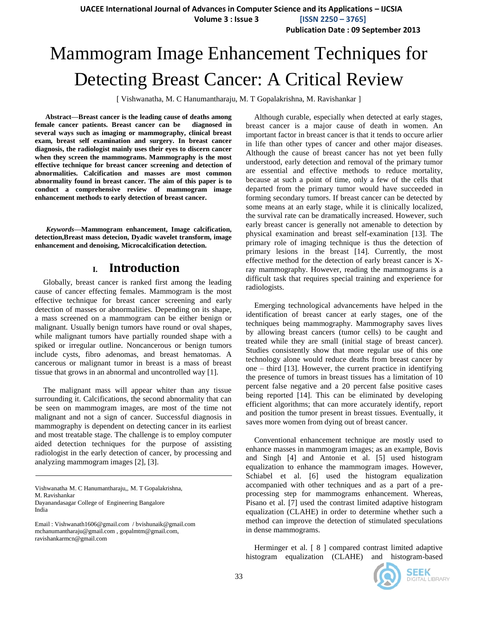**Volume 3 : Issue 3 [ISSN 2250 – 3765]**

**Publication Date : 09 September 2013**

# Mammogram Image Enhancement Techniques for Detecting Breast Cancer: A Critical Review

[ Vishwanatha, M. C Hanumantharaju, M. T Gopalakrishna, M. Ravishankar ]

**Abstract—Breast cancer is the leading cause of deaths among female cancer patients. Breast cancer can be diagnosed in several ways such as imaging or mammography, clinical breast exam, breast self examination and surgery. In breast cancer diagnosis, the radiologist mainly uses their eyes to discern cancer when they screen the mammograms. Mammography is the most effective technique for breast cancer screening and detection of abnormalities. Calcification and masses are most common abnormality found in breast cancer. The aim of this paper is to conduct a comprehensive review of mammogram image enhancement methods to early detection of breast cancer.**

*Keywords—***Mammogram enhancement, Image calcification, detection,Breast mass detecion, Dyadic wavelet transform, image enhancement and denoising, Microcalcification detection.**

### **I. Introduction**

Globally, breast cancer is ranked first among the leading cause of cancer effecting females. Mammogram is the most effective technique for breast cancer screening and early detection of masses or abnormalities. Depending on its shape, a mass screened on a mammogram can be either benign or malignant. Usually benign tumors have round or oval shapes, while malignant tumors have partially rounded shape with a spiked or irregular outline. Noncancerous or benign tumors include cysts, fibro adenomas, and breast hematomas. A cancerous or malignant tumor in breast is a mass of breast tissue that grows in an abnormal and uncontrolled way [1].

The malignant mass will appear whiter than any tissue surrounding it. Calcifications, the second abnormality that can be seen on mammogram images, are most of the time not malignant and not a sign of cancer. Successful diagnosis in mammography is dependent on detecting cancer in its earliest and most treatable stage. The challenge is to employ computer aided detection techniques for the purpose of assisting radiologist in the early detection of cancer, by processing and analyzing mammogram images [2], [3].

Vishwanatha M. C Hanumantharaju,, M. T Gopalakrishna, M. Ravishankar Dayanandasagar College of Engineering Bangalore India

Email : Vishwanath1606@gmail.com / bvishunaik@gmail.com mchanumantharaju@gmail.com , gopalmtm@gmail.com, ravishankarmcn@gmail.com

Although curable, especially when detected at early stages, breast cancer is a major cause of death in women. An important factor in breast cancer is that it tends to occure arlier in life than other types of cancer and other major diseases. Although the cause of breast cancer has not yet been fully understood, early detection and removal of the primary tumor are essential and effective methods to reduce mortality, because at such a point of time, only a few of the cells that departed from the primary tumor would have succeeded in forming secondary tumors. If breast cancer can be detected by some means at an early stage, while it is clinically localized, the survival rate can be dramatically increased. However, such early breast cancer is generally not amenable to detection by physical examination and breast self-examination [13]. The primary role of imaging technique is thus the detection of primary lesions in the breast [14]. Currently, the most effective method for the detection of early breast cancer is Xray mammography. However, reading the mammograms is a difficult task that requires special training and experience for radiologists.

Emerging technological advancements have helped in the identification of breast cancer at early stages, one of the techniques being mammography. Mammography saves lives by allowing breast cancers (tumor cells) to be caught and treated while they are small (initial stage of breast cancer). Studies consistently show that more regular use of this one technology alone would reduce deaths from breast cancer by one – third [13]. However, the current practice in identifying the presence of tumors in breast tissues has a limitation of 10 percent false negative and a 20 percent false positive cases being reported [14]. This can be eliminated by developing efficient algorithms; that can more accurately identify, report and position the tumor present in breast tissues. Eventually, it saves more women from dying out of breast cancer.

Conventional enhancement technique are mostly used to enhance masses in mammogram images; as an example, Bovis and Singh [4] and Antonie et al. [5] used histogram equalization to enhance the mammogram images. However, Schiabel et al. [6] used the histogram equalization accompanied with other techniques and as a part of a preprocessing step for mammograms enhancement. Whereas, Pisano et al. [7] used the contrast limited adaptive histogram equalization (CLAHE) in order to determine whether such a method can improve the detection of stimulated speculations in dense mammograms.

Herminger et al. [ 8 ] compared contrast limited adaptive histogram equalization (CLAHE) and histogram-based

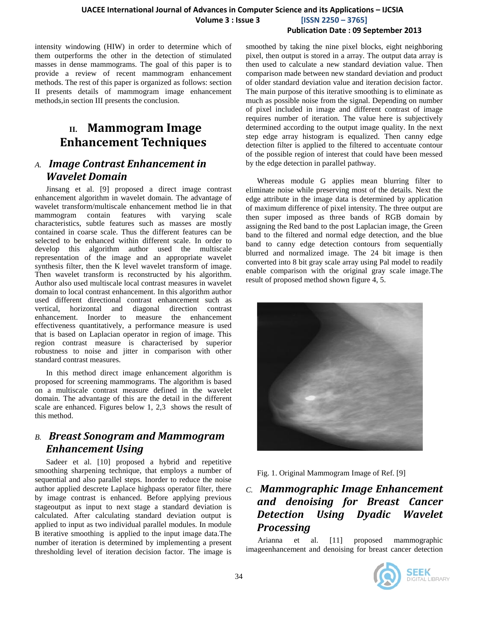#### **Publication Date : 09 September 2013**

intensity windowing (HIW) in order to determine which of them outperforms the other in the detection of stimulated masses in dense mammograms. The goal of this paper is to provide a review of recent mammogram enhancement methods. The rest of this paper is organized as follows: section II presents details of mammogram image enhancement methods,in section III presents the conclusion.

## **II. Mammogram Image Enhancement Techniques**

## *A. Image Contrast Enhancement in Wavelet Domain*

Jinsang et al. [9] proposed a direct image contrast enhancement algorithm in wavelet domain. The advantage of wavelet transform/multiscale enhancement method lie in that mammogram contain features with varying scale characteristics, subtle features such as masses are mostly contained in coarse scale. Thus the different features can be selected to be enhanced within different scale. In order to develop this algorithm author used the multiscale representation of the image and an appropriate wavelet synthesis filter, then the K level wavelet transform of image. Then wavelet transform is reconstructed by his algorithm. Author also used multiscale local contrast measures in wavelet domain to local contrast enhancement. In this algorithm author used different directional contrast enhancement such as vertical, horizontal and diagonal direction contrast enhancement. Inorder to measure the enhancement effectiveness quantitatively, a performance measure is used that is based on Laplacian operator in region of image. This region contrast measure is characterised by superior robustness to noise and jitter in comparison with other standard contrast measures.

In this method direct image enhancement algorithm is proposed for screening mammograms. The algorithm is based on a multiscale contrast measure defined in the wavelet domain. The advantage of this are the detail in the different scale are enhanced. Figures below 1, 2,3 shows the result of this method.

## *B. Breast Sonogram and Mammogram Enhancement Using*

Sadeer et al. [10] proposed a hybrid and repetitive smoothing sharpening technique, that employs a number of sequential and also parallel steps. Inorder to reduce the noise author applied descrete Laplace highpass operator filter, there by image contrast is enhanced. Before applying previous stageoutput as input to next stage a standard deviation is calculated. After calculating standard deviation output is applied to input as two individual parallel modules. In module B iterative smoothing is applied to the input image data.The number of iteration is determined by implementing a present thresholding level of iteration decision factor. The image is

smoothed by taking the nine pixel blocks, eight neighboring pixel, then output is stored in a array. The output data array is then used to calculate a new standard deviation value. Then comparison made between new standard deviation and product of older standard deviation value and iteration decision factor. The main purpose of this iterative smoothing is to eliminate as much as possible noise from the signal. Depending on number of pixel included in image and different contrast of image requires number of iteration. The value here is subjectively determined according to the output image quality. In the next step edge array histogram is equalized. Then canny edge detection filter is applied to the filtered to accentuate contour of the possible region of interest that could have been messed by the edge detection in parallel pathway.

Whereas module G applies mean blurring filter to eliminate noise while preserving most of the details. Next the edge attribute in the image data is determined by application of maximum difference of pixel intensity. The three output are then super imposed as three bands of RGB domain by assigning the Red band to the post Laplacian image, the Green band to the filtered and normal edge detection, and the blue band to canny edge detection contours from sequentially blurred and normalized image. The 24 bit image is then converted into 8 bit gray scale array using Pal model to readily enable comparison with the original gray scale image.The result of proposed method shown figure 4, 5.



Fig. 1. Original Mammogram Image of Ref. [9]

## *C. Mammographic Image Enhancement and denoising for Breast Cancer Detection Using Dyadic Wavelet Processing*

 Arianna et al. [11] proposed mammographic imageenhancement and denoising for breast cancer detection

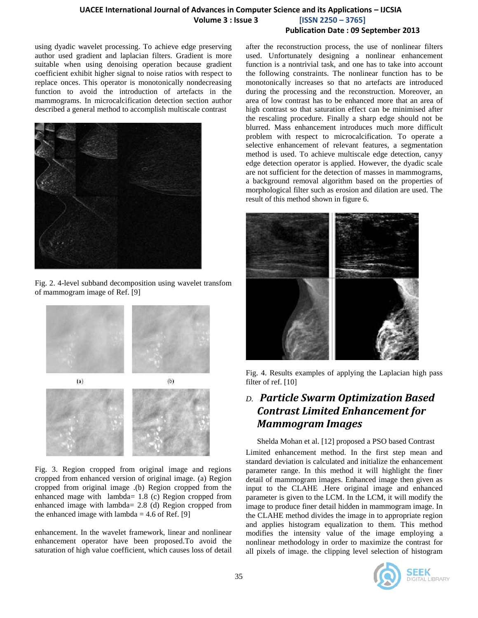using dyadic wavelet processing. To achieve edge preserving author used gradient and laplacian filters. Gradient is more suitable when using denoising operation because gradient coefficient exhibit higher signal to noise ratios with respect to replace onces. This operator is monotonically nondecreasing function to avoid the introduction of artefacts in the mammograms. In microcalcification detection section author described a general method to accomplish multiscale contrast



Fig. 2. 4-level subband decomposition using wavelet transfom of mammogram image of Ref. [9]



Fig. 3. Region cropped from original image and regions cropped from enhanced version of original image. (a) Region cropped from original image .(b) Region cropped from the enhanced mage with lambda= 1.8 (c) Region cropped from enhanced image with lambda= 2.8 (d) Region cropped from the enhanced image with lambda =  $4.6$  of Ref. [9]

enhancement. In the wavelet framework, linear and nonlinear enhancement operator have been proposed.To avoid the saturation of high value coefficient, which causes loss of detail

after the reconstruction process, the use of nonlinear filters used. Unfortunately designing a nonlinear enhancement function is a nontrivial task, and one has to take into account the following constraints. The nonlinear function has to be monotonically increases so that no artefacts are introduced during the processing and the reconstruction. Moreover, an area of low contrast has to be enhanced more that an area of high contrast so that saturation effect can be minimised after the rescaling procedure. Finally a sharp edge should not be blurred. Mass enhancement introduces much more difficult problem with respect to microcalcification. To operate a selective enhancement of relevant features, a segmentation method is used. To achieve multiscale edge detection, canyy edge detection operator is applied. However, the dyadic scale are not sufficient for the detection of masses in mammograms, a background removal algorithm based on the properties of morphological filter such as erosion and dilation are used. The result of this method shown in figure 6.



Fig. 4. Results examples of applying the Laplacian high pass filter of ref. [10]

## *D. Particle Swarm Optimization Based Contrast Limited Enhancement for Mammogram Images*

Shelda Mohan et al. [12] proposed a PSO based Contrast

Limited enhancement method. In the first step mean and standard deviation is calculated and initialize the enhancement parameter range. In this method it will highlight the finer detail of mammogram images. Enhanced image then given as input to the CLAHE .Here original image and enhanced parameter is given to the LCM. In the LCM, it will modify the image to produce finer detail hidden in mammogram image. In the CLAHE method divides the image in to appropriate region and applies histogram equalization to them. This method modifies the intensity value of the image employing a nonlinear methodology in order to maximize the contrast for all pixels of image. the clipping level selection of histogram

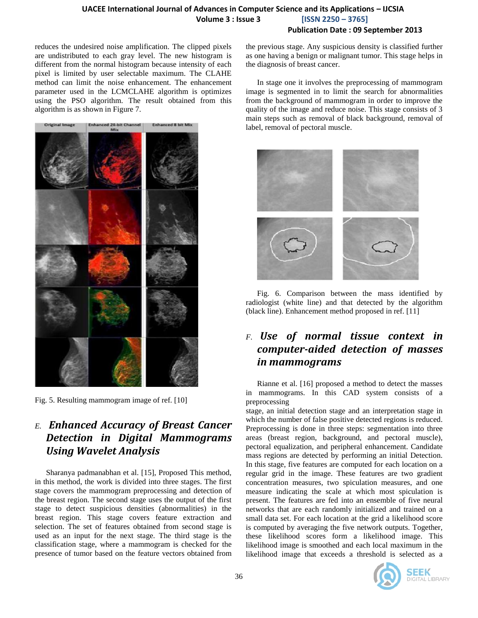#### **UACEE International Journal of Advances in Computer Science and its Applications – IJCSIA Volume 3 : Issue 3 [ISSN 2250 – 3765] Publication Date : 09 September 2013**

reduces the undesired noise amplification. The clipped pixels are undistributed to each gray level. The new histogram is different from the normal histogram because intensity of each pixel is limited by user selectable maximum. The CLAHE method can limit the noise enhancement. The enhancement parameter used in the LCMCLAHE algorithm is optimizes using the PSO algorithm. The result obtained from this algorithm is as shown in Figure 7.



Fig. 5. Resulting mammogram image of ref. [10]

## *E. Enhanced Accuracy of Breast Cancer Detection in Digital Mammograms Using Wavelet Analysis*

Sharanya padmanabhan et al. [15], Proposed This method, in this method, the work is divided into three stages. The first stage covers the mammogram preprocessing and detection of the breast region. The second stage uses the output of the first stage to detect suspicious densities (abnormalities) in the breast region. This stage covers feature extraction and selection. The set of features obtained from second stage is used as an input for the next stage. The third stage is the classification stage, where a mammogram is checked for the presence of tumor based on the feature vectors obtained from

the previous stage. Any suspicious density is classified further as one having a benign or malignant tumor. This stage helps in the diagnosis of breast cancer.

In stage one it involves the preprocessing of mammogram image is segmented in to limit the search for abnormalities from the background of mammogram in order to improve the quality of the image and reduce noise. This stage consists of 3 main steps such as removal of black background, removal of label, removal of pectoral muscle.



Fig. 6. Comparison between the mass identified by radiologist (white line) and that detected by the algorithm (black line). Enhancement method proposed in ref. [11]

## *F. Use of normal tissue context in computer-aided detection of masses in mammograms*

Rianne et al. [16] proposed a method to detect the masses in mammograms. In this CAD system consists of a preprocessing

stage, an initial detection stage and an interpretation stage in which the number of false positive detected regions is reduced. Preprocessing is done in three steps: segmentation into three areas (breast region, background, and pectoral muscle), pectoral equalization, and peripheral enhancement. Candidate mass regions are detected by performing an initial Detection. In this stage, five features are computed for each location on a regular grid in the image. These features are two gradient concentration measures, two spiculation measures, and one measure indicating the scale at which most spiculation is present. The features are fed into an ensemble of five neural networks that are each randomly initialized and trained on a small data set. For each location at the grid a likelihood score is computed by averaging the five network outputs. Together, these likelihood scores form a likelihood image. This likelihood image is smoothed and each local maximum in the likelihood image that exceeds a threshold is selected as a

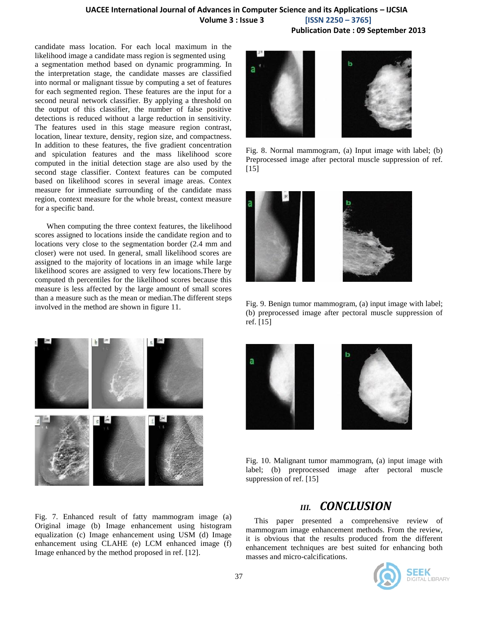**UACEE International Journal of Advances in Computer Science and its Applications – IJCSIA Volume 3 : Issue 3 [ISSN 2250 – 3765]**

**Publication Date : 09 September 2013**

candidate mass location. For each local maximum in the likelihood image a candidate mass region is segmented using a segmentation method based on dynamic programming. In the interpretation stage, the candidate masses are classified into normal or malignant tissue by computing a set of features for each segmented region. These features are the input for a second neural network classifier. By applying a threshold on the output of this classifier, the number of false positive detections is reduced without a large reduction in sensitivity. The features used in this stage measure region contrast, location, linear texture, density, region size, and compactness. In addition to these features, the five gradient concentration and spiculation features and the mass likelihood score computed in the initial detection stage are also used by the second stage classifier. Context features can be computed based on likelihood scores in several image areas. Contex measure for immediate surrounding of the candidate mass region, context measure for the whole breast, context measure for a specific band.

 When computing the three context features, the likelihood scores assigned to locations inside the candidate region and to locations very close to the segmentation border (2.4 mm and closer) were not used. In general, small likelihood scores are assigned to the majority of locations in an image while large likelihood scores are assigned to very few locations.There by computed th percentiles for the likelihood scores because this measure is less affected by the large amount of small scores than a measure such as the mean or median.The different steps involved in the method are shown in figure 11.



Fig. 7. Enhanced result of fatty mammogram image (a) Original image (b) Image enhancement using histogram equalization (c) Image enhancement using USM (d) Image enhancement using CLAHE (e) LCM enhanced image (f) Image enhanced by the method proposed in ref. [12].



Fig. 8. Normal mammogram, (a) Input image with label; (b) Preprocessed image after pectoral muscle suppression of ref. [15]



Fig. 9. Benign tumor mammogram, (a) input image with label; (b) preprocessed image after pectoral muscle suppression of ref. [15]



Fig. 10. Malignant tumor mammogram, (a) input image with label; (b) preprocessed image after pectoral muscle suppression of ref. [15]

## *III. CONCLUSION*

This paper presented a comprehensive review of mammogram image enhancement methods. From the review, it is obvious that the results produced from the different enhancement techniques are best suited for enhancing both masses and micro-calcifications.